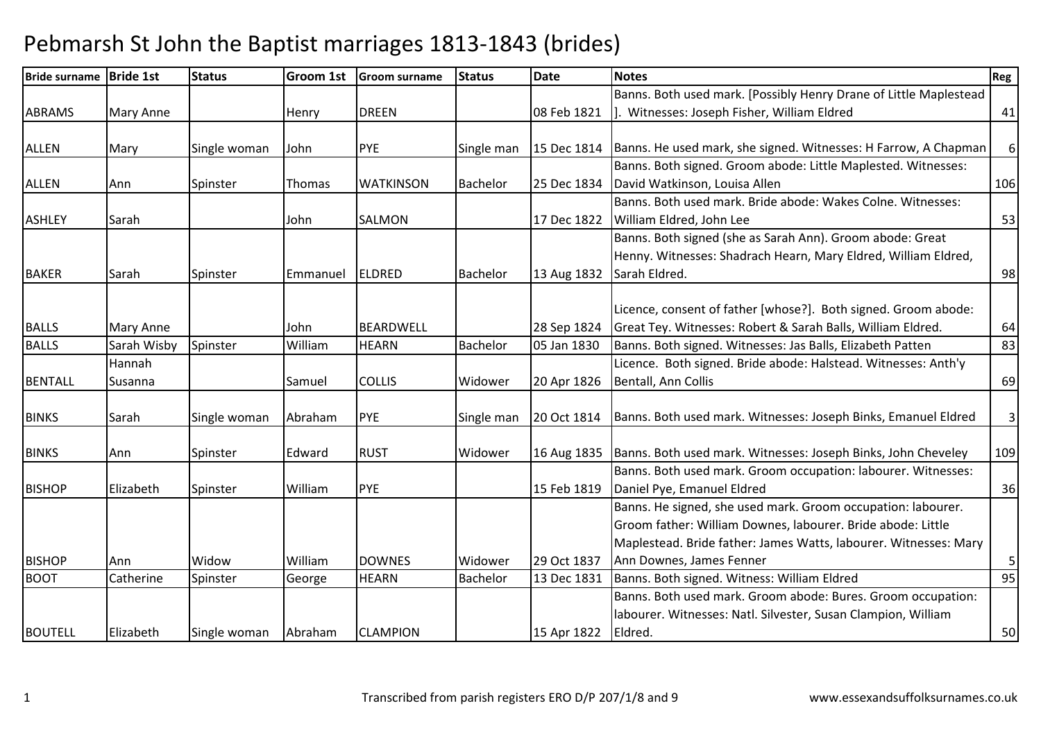| Bride surname Bride 1st |                  | <b>Status</b> | Groom 1st     | <b>Groom surname</b> | <b>Status</b>   | <b>Date</b> | <b>Notes</b>                                                      | Reg          |
|-------------------------|------------------|---------------|---------------|----------------------|-----------------|-------------|-------------------------------------------------------------------|--------------|
|                         |                  |               |               |                      |                 |             | Banns. Both used mark. [Possibly Henry Drane of Little Maplestead |              |
| <b>ABRAMS</b>           | <b>Mary Anne</b> |               | Henry         | <b>DREEN</b>         |                 | 08 Feb 1821 | Witnesses: Joseph Fisher, William Eldred                          | 41           |
|                         |                  |               |               |                      |                 |             |                                                                   |              |
| <b>ALLEN</b>            | Mary             | Single woman  | John          | <b>PYE</b>           | Single man      | 15 Dec 1814 | Banns. He used mark, she signed. Witnesses: H Farrow, A Chapman   | $6\,$        |
|                         |                  |               |               |                      |                 |             | Banns. Both signed. Groom abode: Little Maplested. Witnesses:     |              |
| <b>ALLEN</b>            | Ann              | Spinster      | <b>Thomas</b> | <b>WATKINSON</b>     | Bachelor        | 25 Dec 1834 | David Watkinson, Louisa Allen                                     | 106          |
|                         |                  |               |               |                      |                 |             | Banns. Both used mark. Bride abode: Wakes Colne. Witnesses:       |              |
| <b>ASHLEY</b>           | Sarah            |               | John          | SALMON               |                 | 17 Dec 1822 | William Eldred, John Lee                                          | 53           |
|                         |                  |               |               |                      |                 |             | Banns. Both signed (she as Sarah Ann). Groom abode: Great         |              |
|                         |                  |               |               |                      |                 |             | Henny. Witnesses: Shadrach Hearn, Mary Eldred, William Eldred,    |              |
| <b>BAKER</b>            | Sarah            | Spinster      | Emmanuel      | <b>ELDRED</b>        | Bachelor        | 13 Aug 1832 | Sarah Eldred.                                                     | 98           |
|                         |                  |               |               |                      |                 |             |                                                                   |              |
|                         |                  |               |               |                      |                 |             | Licence, consent of father [whose?]. Both signed. Groom abode:    |              |
| <b>BALLS</b>            | Mary Anne        |               | John          | <b>BEARDWELL</b>     |                 | 28 Sep 1824 | Great Tey. Witnesses: Robert & Sarah Balls, William Eldred.       | 64           |
| <b>BALLS</b>            | Sarah Wisby      | Spinster      | William       | <b>HEARN</b>         | <b>Bachelor</b> | 05 Jan 1830 | Banns. Both signed. Witnesses: Jas Balls, Elizabeth Patten        | 83           |
|                         | Hannah           |               |               |                      |                 |             | Licence. Both signed. Bride abode: Halstead. Witnesses: Anth'y    |              |
| <b>BENTALL</b>          | Susanna          |               | Samuel        | <b>COLLIS</b>        | Widower         | 20 Apr 1826 | Bentall, Ann Collis                                               | 69           |
|                         |                  |               |               |                      |                 |             |                                                                   |              |
| <b>BINKS</b>            | Sarah            | Single woman  | Abraham       | <b>PYE</b>           | Single man      | 20 Oct 1814 | Banns. Both used mark. Witnesses: Joseph Binks, Emanuel Eldred    | $\mathbf{3}$ |
|                         |                  |               |               |                      |                 |             |                                                                   |              |
| <b>BINKS</b>            | Ann              | Spinster      | Edward        | <b>RUST</b>          | Widower         | 16 Aug 1835 | Banns. Both used mark. Witnesses: Joseph Binks, John Cheveley     | 109          |
|                         |                  |               |               |                      |                 |             | Banns. Both used mark. Groom occupation: labourer. Witnesses:     |              |
| <b>BISHOP</b>           | Elizabeth        | Spinster      | William       | PYE                  |                 | 15 Feb 1819 | Daniel Pye, Emanuel Eldred                                        | 36           |
|                         |                  |               |               |                      |                 |             | Banns. He signed, she used mark. Groom occupation: labourer.      |              |
|                         |                  |               |               |                      |                 |             | Groom father: William Downes, labourer. Bride abode: Little       |              |
|                         |                  |               |               |                      |                 |             | Maplestead. Bride father: James Watts, labourer. Witnesses: Mary  |              |
| <b>BISHOP</b>           | Ann              | Widow         | William       | <b>DOWNES</b>        | Widower         | 29 Oct 1837 | Ann Downes, James Fenner                                          | 5            |
| <b>BOOT</b>             | Catherine        | Spinster      | George        | <b>HEARN</b>         | Bachelor        | 13 Dec 1831 | Banns. Both signed. Witness: William Eldred                       | 95           |
|                         |                  |               |               |                      |                 |             | Banns. Both used mark. Groom abode: Bures. Groom occupation:      |              |
|                         |                  |               |               |                      |                 |             | labourer. Witnesses: Natl. Silvester, Susan Clampion, William     |              |
| <b>BOUTELL</b>          | Elizabeth        | Single woman  | Abraham       | <b>CLAMPION</b>      |                 | 15 Apr 1822 | Eldred.                                                           | 50           |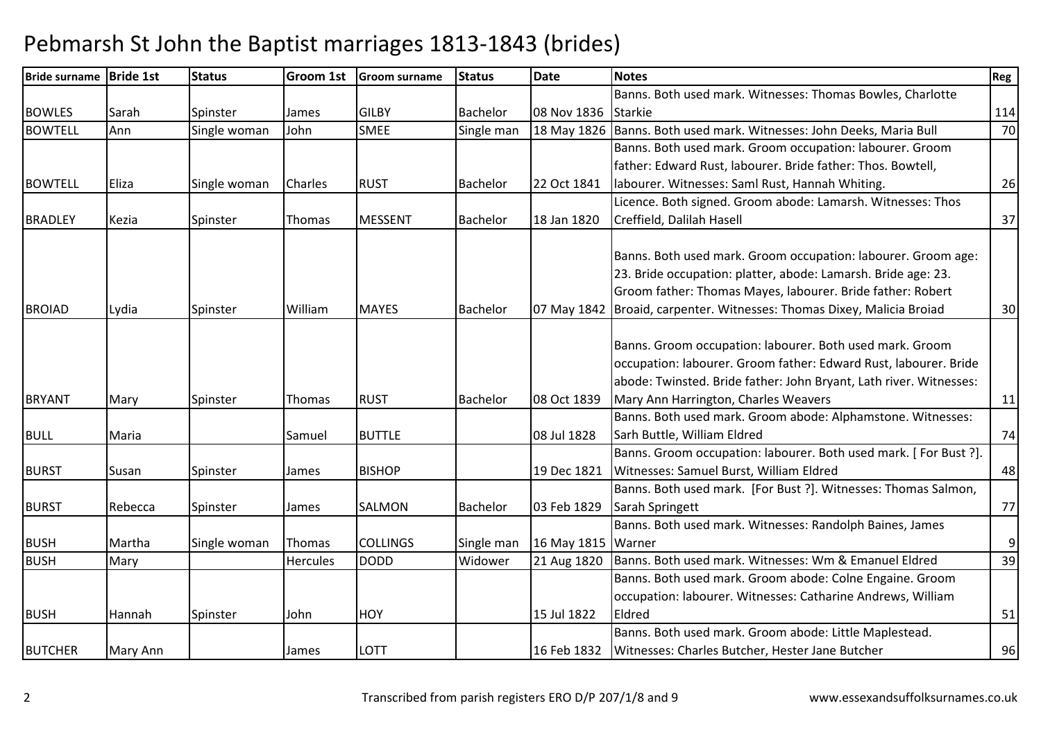| <b>Bride surname</b> | <b>Bride 1st</b> | <b>Status</b> | <b>Groom 1st</b> | <b>Groom surname</b> | <b>Status</b>   | <b>Date</b>        | <b>Notes</b>                                                             | Reg            |
|----------------------|------------------|---------------|------------------|----------------------|-----------------|--------------------|--------------------------------------------------------------------------|----------------|
|                      |                  |               |                  |                      |                 |                    | Banns. Both used mark. Witnesses: Thomas Bowles, Charlotte               |                |
| <b>BOWLES</b>        | Sarah            | Spinster      | James            | <b>GILBY</b>         | Bachelor        | 08 Nov 1836        | <b>Starkie</b>                                                           | 114            |
| <b>BOWTELL</b>       | Ann              | Single woman  | John             | <b>SMEE</b>          | Single man      |                    | 18 May 1826 Banns. Both used mark. Witnesses: John Deeks, Maria Bull     | 70             |
|                      |                  |               |                  |                      |                 |                    | Banns. Both used mark. Groom occupation: labourer. Groom                 |                |
|                      |                  |               |                  |                      |                 |                    | father: Edward Rust, labourer. Bride father: Thos. Bowtell,              |                |
| <b>BOWTELL</b>       | Eliza            | Single woman  | Charles          | <b>RUST</b>          | Bachelor        | 22 Oct 1841        | labourer. Witnesses: Saml Rust, Hannah Whiting.                          | 26             |
|                      |                  |               |                  |                      |                 |                    | Licence. Both signed. Groom abode: Lamarsh. Witnesses: Thos              |                |
| <b>BRADLEY</b>       | Kezia            | Spinster      | Thomas           | <b>MESSENT</b>       | Bachelor        | 18 Jan 1820        | Creffield, Dalilah Hasell                                                | 37             |
|                      |                  |               |                  |                      |                 |                    | Banns. Both used mark. Groom occupation: labourer. Groom age:            |                |
|                      |                  |               |                  |                      |                 |                    | 23. Bride occupation: platter, abode: Lamarsh. Bride age: 23.            |                |
|                      |                  |               |                  |                      |                 |                    | Groom father: Thomas Mayes, labourer. Bride father: Robert               |                |
| <b>BROIAD</b>        | Lydia            | Spinster      | William          | <b>MAYES</b>         | <b>Bachelor</b> |                    | 07 May 1842   Broaid, carpenter. Witnesses: Thomas Dixey, Malicia Broiad | 30             |
|                      |                  |               |                  |                      |                 |                    |                                                                          |                |
|                      |                  |               |                  |                      |                 |                    | Banns. Groom occupation: labourer. Both used mark. Groom                 |                |
|                      |                  |               |                  |                      |                 |                    | occupation: labourer. Groom father: Edward Rust, labourer. Bride         |                |
|                      |                  |               |                  |                      |                 |                    | abode: Twinsted. Bride father: John Bryant, Lath river. Witnesses:       |                |
| <b>BRYANT</b>        | Mary             | Spinster      | Thomas           | <b>RUST</b>          | <b>Bachelor</b> | 08 Oct 1839        | Mary Ann Harrington, Charles Weavers                                     | 11             |
|                      |                  |               |                  |                      |                 |                    | Banns. Both used mark. Groom abode: Alphamstone. Witnesses:              |                |
| <b>BULL</b>          | Maria            |               | Samuel           | <b>BUTTLE</b>        |                 | 08 Jul 1828        | Sarh Buttle, William Eldred                                              | 74             |
|                      |                  |               |                  |                      |                 |                    | Banns. Groom occupation: labourer. Both used mark. [For Bust ?].         |                |
| <b>BURST</b>         | Susan            | Spinster      | James            | <b>BISHOP</b>        |                 | 19 Dec 1821        | Witnesses: Samuel Burst, William Eldred                                  | 48             |
|                      |                  |               |                  |                      |                 |                    | Banns. Both used mark. [For Bust ?]. Witnesses: Thomas Salmon,           |                |
| <b>BURST</b>         | Rebecca          | Spinster      | James            | SALMON               | Bachelor        | 03 Feb 1829        | Sarah Springett                                                          | 77             |
|                      |                  |               |                  |                      |                 |                    | Banns. Both used mark. Witnesses: Randolph Baines, James                 |                |
| <b>BUSH</b>          | Martha           | Single woman  | Thomas           | <b>COLLINGS</b>      | Single man      | 16 May 1815 Warner |                                                                          | $\overline{9}$ |
| <b>BUSH</b>          | Mary             |               | <b>Hercules</b>  | <b>DODD</b>          | Widower         | 21 Aug 1820        | Banns. Both used mark. Witnesses: Wm & Emanuel Eldred                    | 39             |
|                      |                  |               |                  |                      |                 |                    | Banns. Both used mark. Groom abode: Colne Engaine. Groom                 |                |
|                      |                  |               |                  |                      |                 |                    | occupation: labourer. Witnesses: Catharine Andrews, William              |                |
| <b>BUSH</b>          | Hannah           | Spinster      | John             | <b>HOY</b>           |                 | 15 Jul 1822        | Eldred                                                                   | 51             |
|                      |                  |               |                  |                      |                 |                    | Banns. Both used mark. Groom abode: Little Maplestead.                   |                |
| <b>BUTCHER</b>       | Mary Ann         |               | James            | LOTT                 |                 | 16 Feb 1832        | Witnesses: Charles Butcher, Hester Jane Butcher                          | 96             |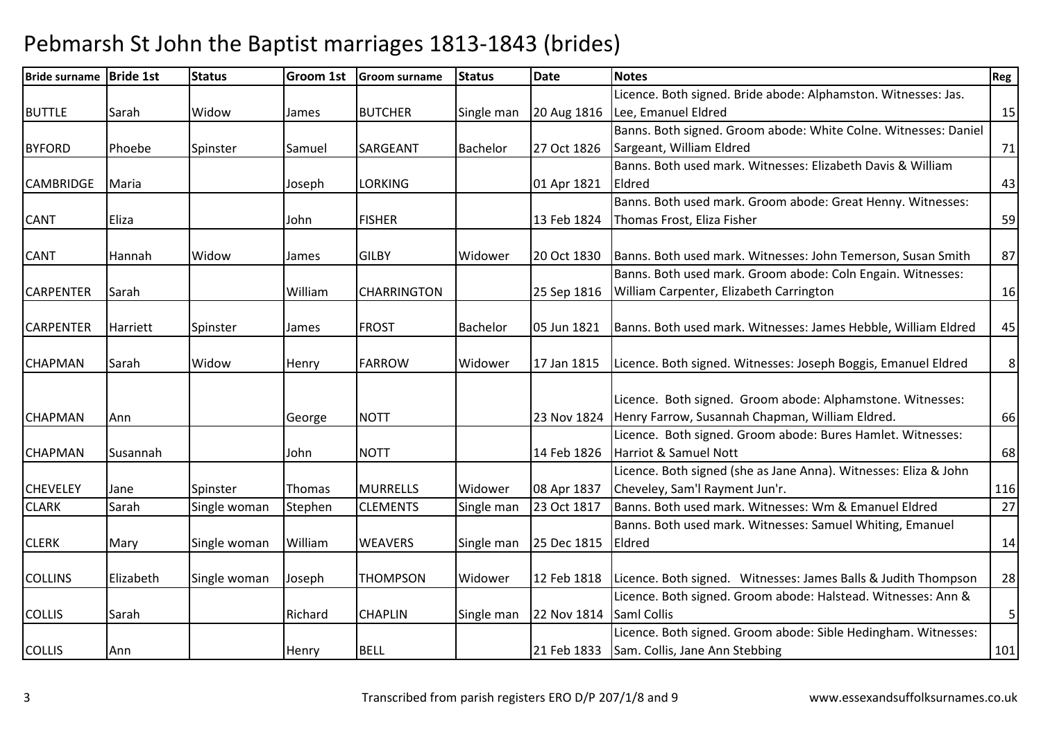| <b>Bride surname</b> | <b>Bride 1st</b> | <b>Status</b> | Groom 1st | <b>Groom surname</b> | <b>Status</b>   | <b>Date</b> | <b>Notes</b>                                                                 | Reg         |
|----------------------|------------------|---------------|-----------|----------------------|-----------------|-------------|------------------------------------------------------------------------------|-------------|
|                      |                  |               |           |                      |                 |             | Licence. Both signed. Bride abode: Alphamston. Witnesses: Jas.               |             |
| <b>BUTTLE</b>        | Sarah            | Widow         | James     | <b>BUTCHER</b>       | Single man      | 20 Aug 1816 | Lee, Emanuel Eldred                                                          | 15          |
|                      |                  |               |           |                      |                 |             | Banns. Both signed. Groom abode: White Colne. Witnesses: Daniel              |             |
| <b>BYFORD</b>        | Phoebe           | Spinster      | Samuel    | SARGEANT             | <b>Bachelor</b> | 27 Oct 1826 | Sargeant, William Eldred                                                     | 71          |
|                      |                  |               |           |                      |                 |             | Banns. Both used mark. Witnesses: Elizabeth Davis & William                  |             |
| <b>CAMBRIDGE</b>     | Maria            |               | Joseph    | <b>LORKING</b>       |                 | 01 Apr 1821 | Eldred                                                                       | 43          |
|                      |                  |               |           |                      |                 |             | Banns. Both used mark. Groom abode: Great Henny. Witnesses:                  |             |
| <b>CANT</b>          | Eliza            |               | John      | <b>FISHER</b>        |                 | 13 Feb 1824 | Thomas Frost, Eliza Fisher                                                   | 59          |
| <b>CANT</b>          | Hannah           | Widow         | James     | <b>GILBY</b>         | Widower         | 20 Oct 1830 | Banns. Both used mark. Witnesses: John Temerson, Susan Smith                 | 87          |
|                      |                  |               |           |                      |                 |             | Banns. Both used mark. Groom abode: Coln Engain. Witnesses:                  |             |
| <b>CARPENTER</b>     | Sarah            |               | William   | <b>CHARRINGTON</b>   |                 | 25 Sep 1816 | William Carpenter, Elizabeth Carrington                                      | 16          |
|                      |                  |               |           |                      |                 |             |                                                                              |             |
| <b>CARPENTER</b>     | Harriett         | Spinster      | James     | <b>FROST</b>         | Bachelor        | 05 Jun 1821 | Banns. Both used mark. Witnesses: James Hebble, William Eldred               | 45          |
|                      |                  |               |           |                      |                 |             |                                                                              |             |
| <b>CHAPMAN</b>       | Sarah            | Widow         | Henry     | <b>FARROW</b>        | Widower         | 17 Jan 1815 | Licence. Both signed. Witnesses: Joseph Boggis, Emanuel Eldred               | 8           |
|                      |                  |               |           |                      |                 |             |                                                                              |             |
|                      |                  |               |           |                      |                 |             | Licence. Both signed. Groom abode: Alphamstone. Witnesses:                   |             |
| <b>CHAPMAN</b>       | Ann              |               | George    | <b>NOTT</b>          |                 | 23 Nov 1824 | Henry Farrow, Susannah Chapman, William Eldred.                              | 66          |
|                      |                  |               |           |                      |                 |             | Licence. Both signed. Groom abode: Bures Hamlet. Witnesses:                  |             |
| <b>CHAPMAN</b>       | Susannah         |               | John      | <b>NOTT</b>          |                 | 14 Feb 1826 | Harriot & Samuel Nott                                                        | 68          |
|                      |                  |               |           |                      |                 |             | Licence. Both signed (she as Jane Anna). Witnesses: Eliza & John             |             |
| <b>CHEVELEY</b>      | Jane             | Spinster      | Thomas    | <b>MURRELLS</b>      | Widower         | 08 Apr 1837 | Cheveley, Sam'l Rayment Jun'r.                                               | 116         |
| <b>CLARK</b>         | Sarah            | Single woman  | Stephen   | <b>CLEMENTS</b>      | Single man      | 23 Oct 1817 | Banns. Both used mark. Witnesses: Wm & Emanuel Eldred                        | 27          |
|                      |                  |               |           |                      |                 |             | Banns. Both used mark. Witnesses: Samuel Whiting, Emanuel                    |             |
| <b>CLERK</b>         | Mary             | Single woman  | William   | <b>WEAVERS</b>       | Single man      | 25 Dec 1815 | Eldred                                                                       | 14          |
| <b>COLLINS</b>       | Elizabeth        | Single woman  | Joseph    | <b>THOMPSON</b>      | Widower         |             | 12 Feb 1818   Licence. Both signed. Witnesses: James Balls & Judith Thompson | 28          |
|                      |                  |               |           |                      |                 |             | Licence. Both signed. Groom abode: Halstead. Witnesses: Ann &                |             |
| <b>COLLIS</b>        | Sarah            |               | Richard   | <b>CHAPLIN</b>       | Single man      | 22 Nov 1814 | <b>Saml Collis</b>                                                           | $\mathsf S$ |
|                      |                  |               |           |                      |                 |             | Licence. Both signed. Groom abode: Sible Hedingham. Witnesses:               |             |
| <b>COLLIS</b>        | Ann              |               | Henry     | <b>BELL</b>          |                 |             | 21 Feb 1833 Sam. Collis, Jane Ann Stebbing                                   | 101         |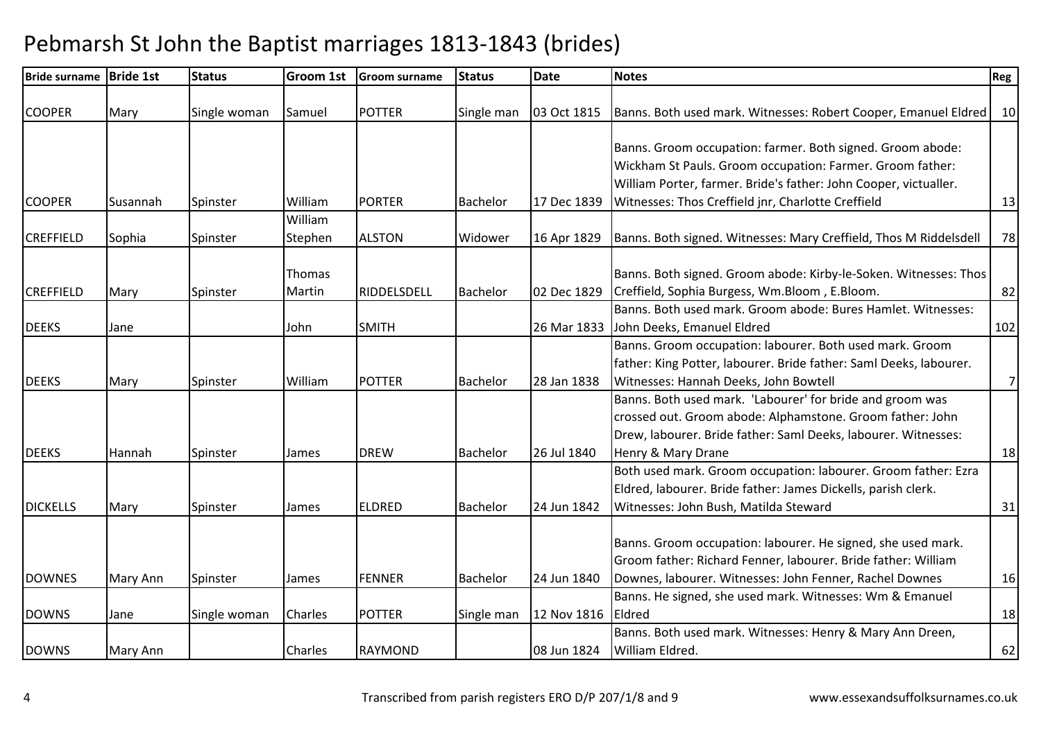| <b>Bride surname</b> | <b>Bride 1st</b> | <b>Status</b> | <b>Groom 1st</b> | <b>Groom surname</b> | <b>Status</b>   | <b>Date</b> | <b>Notes</b>                                                       | Reg             |
|----------------------|------------------|---------------|------------------|----------------------|-----------------|-------------|--------------------------------------------------------------------|-----------------|
| <b>COOPER</b>        | Mary             | Single woman  | Samuel           | <b>POTTER</b>        | Single man      | 03 Oct 1815 | Banns. Both used mark. Witnesses: Robert Cooper, Emanuel Eldred    | 10 <sup>1</sup> |
|                      |                  |               |                  |                      |                 |             |                                                                    |                 |
|                      |                  |               |                  |                      |                 |             | Banns. Groom occupation: farmer. Both signed. Groom abode:         |                 |
|                      |                  |               |                  |                      |                 |             | Wickham St Pauls. Groom occupation: Farmer. Groom father:          |                 |
|                      |                  |               |                  |                      |                 |             | William Porter, farmer. Bride's father: John Cooper, victualler.   |                 |
| <b>COOPER</b>        | Susannah         | Spinster      | William          | <b>PORTER</b>        | Bachelor        | 17 Dec 1839 | Witnesses: Thos Creffield jnr, Charlotte Creffield                 | 13              |
|                      |                  |               | William          |                      |                 |             |                                                                    |                 |
| <b>CREFFIELD</b>     | Sophia           | Spinster      | Stephen          | <b>ALSTON</b>        | Widower         | 16 Apr 1829 | Banns. Both signed. Witnesses: Mary Creffield, Thos M Riddelsdell  | 78              |
|                      |                  |               | Thomas           |                      |                 |             | Banns. Both signed. Groom abode: Kirby-le-Soken. Witnesses: Thos   |                 |
| <b>CREFFIELD</b>     |                  |               | Martin           | RIDDELSDELL          | <b>Bachelor</b> | 02 Dec 1829 | Creffield, Sophia Burgess, Wm.Bloom, E.Bloom.                      | 82              |
|                      | Mary             | Spinster      |                  |                      |                 |             | Banns. Both used mark. Groom abode: Bures Hamlet. Witnesses:       |                 |
| <b>DEEKS</b>         |                  |               |                  | <b>SMITH</b>         |                 | 26 Mar 1833 | John Deeks, Emanuel Eldred                                         | 102             |
|                      | Jane             |               | John             |                      |                 |             | Banns. Groom occupation: labourer. Both used mark. Groom           |                 |
|                      |                  |               |                  |                      |                 |             | father: King Potter, labourer. Bride father: Saml Deeks, labourer. |                 |
| <b>DEEKS</b>         |                  |               | William          | <b>POTTER</b>        | Bachelor        | 28 Jan 1838 | Witnesses: Hannah Deeks, John Bowtell                              | 7               |
|                      | Mary             | Spinster      |                  |                      |                 |             | Banns. Both used mark. 'Labourer' for bride and groom was          |                 |
|                      |                  |               |                  |                      |                 |             | crossed out. Groom abode: Alphamstone. Groom father: John          |                 |
|                      |                  |               |                  |                      |                 |             | Drew, labourer. Bride father: Saml Deeks, labourer. Witnesses:     |                 |
| <b>DEEKS</b>         | Hannah           | Spinster      | James            | <b>DREW</b>          | Bachelor        | 26 Jul 1840 | Henry & Mary Drane                                                 | 18              |
|                      |                  |               |                  |                      |                 |             | Both used mark. Groom occupation: labourer. Groom father: Ezra     |                 |
|                      |                  |               |                  |                      |                 |             | Eldred, labourer. Bride father: James Dickells, parish clerk.      |                 |
| <b>DICKELLS</b>      | Mary             | Spinster      | James            | <b>ELDRED</b>        | Bachelor        | 24 Jun 1842 | Witnesses: John Bush, Matilda Steward                              | 31              |
|                      |                  |               |                  |                      |                 |             |                                                                    |                 |
|                      |                  |               |                  |                      |                 |             | Banns. Groom occupation: labourer. He signed, she used mark.       |                 |
|                      |                  |               |                  |                      |                 |             | Groom father: Richard Fenner, labourer. Bride father: William      |                 |
| <b>DOWNES</b>        | Mary Ann         | Spinster      | James            | <b>FENNER</b>        | Bachelor        | 24 Jun 1840 | Downes, labourer. Witnesses: John Fenner, Rachel Downes            | 16              |
|                      |                  |               |                  |                      |                 |             | Banns. He signed, she used mark. Witnesses: Wm & Emanuel           |                 |
|                      |                  |               | Charles          | <b>POTTER</b>        |                 |             | Eldred                                                             |                 |
| <b>DOWNS</b>         | Jane             | Single woman  |                  |                      | Single man      | 12 Nov 1816 | Banns. Both used mark. Witnesses: Henry & Mary Ann Dreen,          | 18              |
|                      |                  |               |                  |                      |                 |             | William Eldred.                                                    |                 |
| <b>DOWNS</b>         | Mary Ann         |               | Charles          | <b>RAYMOND</b>       |                 | 08 Jun 1824 |                                                                    | 62              |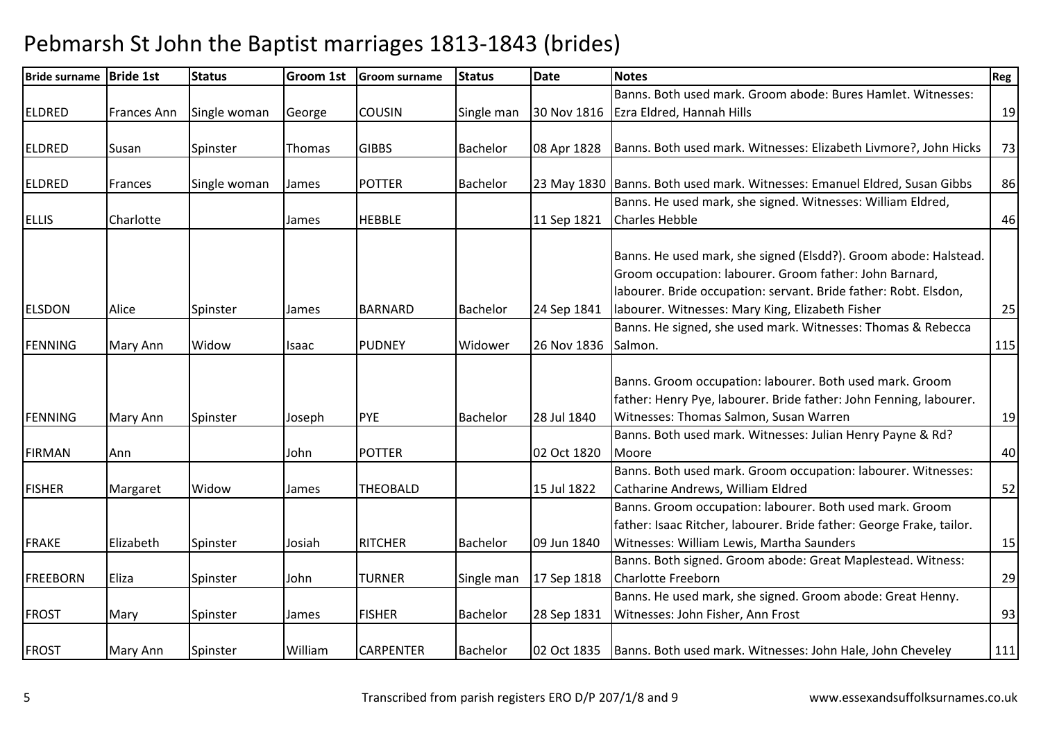| <b>Bride surname</b> | <b>Bride 1st</b>   | <b>Status</b> | Groom 1st     | <b>Groom surname</b> | <b>Status</b>   | <b>Date</b> | <b>Notes</b>                                                              | Reg |
|----------------------|--------------------|---------------|---------------|----------------------|-----------------|-------------|---------------------------------------------------------------------------|-----|
|                      |                    |               |               |                      |                 |             | Banns. Both used mark. Groom abode: Bures Hamlet. Witnesses:              |     |
| <b>ELDRED</b>        | <b>Frances Ann</b> | Single woman  | George        | <b>COUSIN</b>        | Single man      |             | 30 Nov 1816 Ezra Eldred, Hannah Hills                                     | 19  |
|                      |                    |               |               |                      |                 |             |                                                                           |     |
| <b>ELDRED</b>        | Susan              | Spinster      | <b>Thomas</b> | <b>GIBBS</b>         | <b>Bachelor</b> | 08 Apr 1828 | Banns. Both used mark. Witnesses: Elizabeth Livmore?, John Hicks          | 73  |
| <b>ELDRED</b>        | Frances            | Single woman  | James         | <b>POTTER</b>        | <b>Bachelor</b> |             | 23 May 1830 Banns. Both used mark. Witnesses: Emanuel Eldred, Susan Gibbs | 86  |
|                      |                    |               |               |                      |                 |             | Banns. He used mark, she signed. Witnesses: William Eldred,               |     |
| <b>ELLIS</b>         | Charlotte          |               | James         | <b>HEBBLE</b>        |                 | 11 Sep 1821 | <b>Charles Hebble</b>                                                     | 46  |
|                      |                    |               |               |                      |                 |             |                                                                           |     |
|                      |                    |               |               |                      |                 |             | Banns. He used mark, she signed (Elsdd?). Groom abode: Halstead.          |     |
|                      |                    |               |               |                      |                 |             | Groom occupation: labourer. Groom father: John Barnard,                   |     |
|                      |                    |               |               |                      |                 |             | labourer. Bride occupation: servant. Bride father: Robt. Elsdon,          |     |
| <b>ELSDON</b>        | Alice              | Spinster      | James         | <b>BARNARD</b>       | <b>Bachelor</b> | 24 Sep 1841 | labourer. Witnesses: Mary King, Elizabeth Fisher                          | 25  |
|                      |                    |               |               |                      |                 |             | Banns. He signed, she used mark. Witnesses: Thomas & Rebecca              |     |
| <b>FENNING</b>       | Mary Ann           | Widow         | Isaac         | <b>PUDNEY</b>        | Widower         | 26 Nov 1836 | Salmon.                                                                   | 115 |
|                      |                    |               |               |                      |                 |             |                                                                           |     |
|                      |                    |               |               |                      |                 |             | Banns. Groom occupation: labourer. Both used mark. Groom                  |     |
|                      |                    |               |               |                      |                 |             | father: Henry Pye, labourer. Bride father: John Fenning, labourer.        |     |
| <b>FENNING</b>       | Mary Ann           | Spinster      | Joseph        | <b>PYE</b>           | Bachelor        | 28 Jul 1840 | Witnesses: Thomas Salmon, Susan Warren                                    | 19  |
|                      |                    |               |               |                      |                 |             | Banns. Both used mark. Witnesses: Julian Henry Payne & Rd?<br>Moore       |     |
| <b>FIRMAN</b>        | Ann                |               | John          | <b>POTTER</b>        |                 | 02 Oct 1820 |                                                                           | 40  |
|                      |                    |               |               |                      |                 |             | Banns. Both used mark. Groom occupation: labourer. Witnesses:             |     |
| <b>FISHER</b>        | Margaret           | Widow         | James         | <b>THEOBALD</b>      |                 | 15 Jul 1822 | Catharine Andrews, William Eldred                                         | 52  |
|                      |                    |               |               |                      |                 |             | Banns. Groom occupation: labourer. Both used mark. Groom                  |     |
|                      |                    |               |               |                      |                 |             | father: Isaac Ritcher, labourer. Bride father: George Frake, tailor.      |     |
| <b>FRAKE</b>         | Elizabeth          | Spinster      | Josiah        | <b>RITCHER</b>       | <b>Bachelor</b> | 09 Jun 1840 | Witnesses: William Lewis, Martha Saunders                                 | 15  |
|                      |                    |               |               |                      |                 |             | Banns. Both signed. Groom abode: Great Maplestead. Witness:               |     |
| <b>FREEBORN</b>      | Eliza              | Spinster      | John          | <b>TURNER</b>        | Single man      | 17 Sep 1818 | <b>Charlotte Freeborn</b>                                                 | 29  |
|                      |                    |               |               |                      |                 |             | Banns. He used mark, she signed. Groom abode: Great Henny.                |     |
| <b>FROST</b>         | Mary               | Spinster      | James         | <b>FISHER</b>        | <b>Bachelor</b> | 28 Sep 1831 | Witnesses: John Fisher, Ann Frost                                         | 93  |
| <b>FROST</b>         | Mary Ann           | Spinster      | William       | <b>CARPENTER</b>     | <b>Bachelor</b> |             | 02 Oct 1835   Banns. Both used mark. Witnesses: John Hale, John Cheveley  | 111 |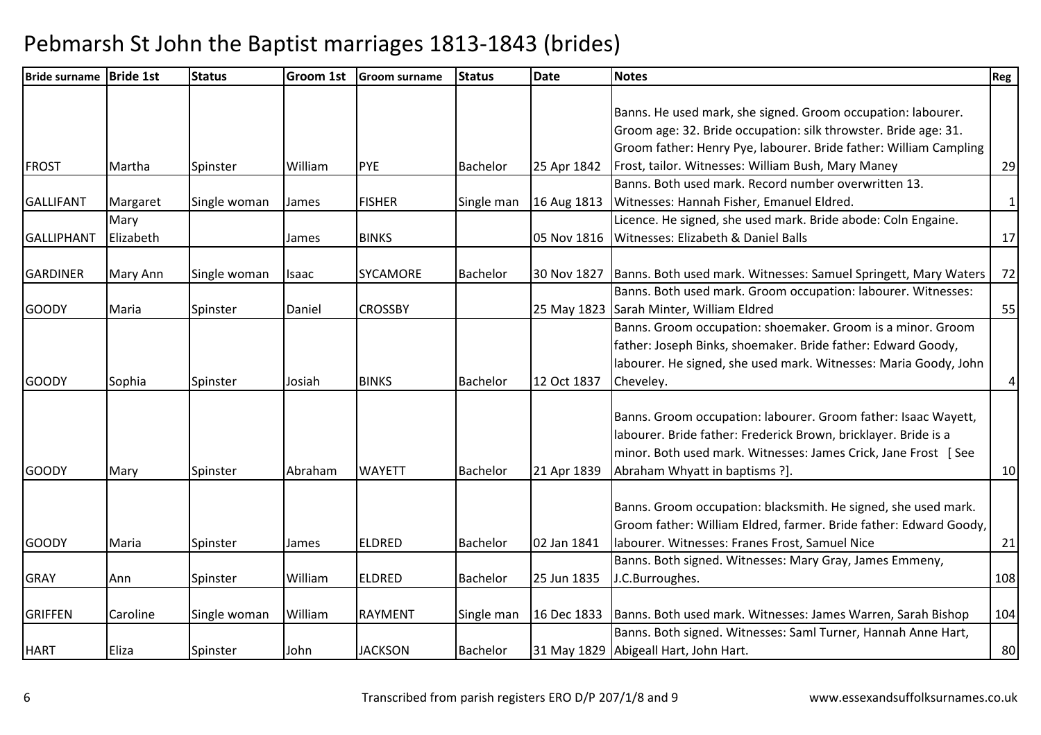| Bride surname Bride 1st |           | <b>Status</b> | <b>Groom 1st</b> | <b>Groom surname</b> | <b>Status</b>   | <b>Date</b> | <b>Notes</b>                                                      | Reg              |
|-------------------------|-----------|---------------|------------------|----------------------|-----------------|-------------|-------------------------------------------------------------------|------------------|
|                         |           |               |                  |                      |                 |             |                                                                   |                  |
|                         |           |               |                  |                      |                 |             | Banns. He used mark, she signed. Groom occupation: labourer.      |                  |
|                         |           |               |                  |                      |                 |             | Groom age: 32. Bride occupation: silk throwster. Bride age: 31.   |                  |
|                         |           |               |                  |                      |                 |             | Groom father: Henry Pye, labourer. Bride father: William Campling |                  |
| <b>FROST</b>            | Martha    | Spinster      | William          | PYE                  | Bachelor        | 25 Apr 1842 | Frost, tailor. Witnesses: William Bush, Mary Maney                | 29               |
|                         |           |               |                  |                      |                 |             | Banns. Both used mark. Record number overwritten 13.              |                  |
| <b>GALLIFANT</b>        | Margaret  | Single woman  | James            | <b>FISHER</b>        | Single man      | 16 Aug 1813 | Witnesses: Hannah Fisher, Emanuel Eldred.                         | $\mathbf{1}$     |
|                         | Mary      |               |                  |                      |                 |             | Licence. He signed, she used mark. Bride abode: Coln Engaine.     |                  |
| <b>GALLIPHANT</b>       | Elizabeth |               | James            | <b>BINKS</b>         |                 | 05 Nov 1816 | Witnesses: Elizabeth & Daniel Balls                               | 17               |
| <b>GARDINER</b>         | Mary Ann  | Single woman  | Isaac            | <b>SYCAMORE</b>      | Bachelor        | 30 Nov 1827 | Banns. Both used mark. Witnesses: Samuel Springett, Mary Waters   | 72               |
|                         |           |               |                  |                      |                 |             | Banns. Both used mark. Groom occupation: labourer. Witnesses:     |                  |
| <b>GOODY</b>            | Maria     | Spinster      | Daniel           | <b>CROSSBY</b>       |                 | 25 May 1823 | Sarah Minter, William Eldred                                      | 55               |
|                         |           |               |                  |                      |                 |             | Banns. Groom occupation: shoemaker. Groom is a minor. Groom       |                  |
|                         |           |               |                  |                      |                 |             | father: Joseph Binks, shoemaker. Bride father: Edward Goody,      |                  |
|                         |           |               |                  |                      |                 |             | labourer. He signed, she used mark. Witnesses: Maria Goody, John  |                  |
| <b>GOODY</b>            |           |               |                  | <b>BINKS</b>         | <b>Bachelor</b> | 12 Oct 1837 |                                                                   |                  |
|                         | Sophia    | Spinster      | Josiah           |                      |                 |             | Cheveley.                                                         | $\boldsymbol{4}$ |
|                         |           |               |                  |                      |                 |             |                                                                   |                  |
|                         |           |               |                  |                      |                 |             | Banns. Groom occupation: labourer. Groom father: Isaac Wayett,    |                  |
|                         |           |               |                  |                      |                 |             | labourer. Bride father: Frederick Brown, bricklayer. Bride is a   |                  |
|                         |           |               |                  |                      |                 |             | minor. Both used mark. Witnesses: James Crick, Jane Frost [See    |                  |
| <b>GOODY</b>            | Mary      | Spinster      | Abraham          | <b>WAYETT</b>        | Bachelor        | 21 Apr 1839 | Abraham Whyatt in baptisms ?].                                    | 10               |
|                         |           |               |                  |                      |                 |             |                                                                   |                  |
|                         |           |               |                  |                      |                 |             | Banns. Groom occupation: blacksmith. He signed, she used mark.    |                  |
|                         |           |               |                  |                      |                 |             | Groom father: William Eldred, farmer. Bride father: Edward Goody, |                  |
| <b>GOODY</b>            | Maria     | Spinster      | James            | ELDRED               | Bachelor        | 02 Jan 1841 | labourer. Witnesses: Franes Frost, Samuel Nice                    | 21               |
|                         |           |               |                  |                      |                 |             | Banns. Both signed. Witnesses: Mary Gray, James Emmeny,           |                  |
| <b>GRAY</b>             | Ann       | Spinster      | William          | <b>ELDRED</b>        | Bachelor        | 25 Jun 1835 | J.C.Burroughes.                                                   | 108              |
| <b>GRIFFEN</b>          | Caroline  |               | William          | <b>RAYMENT</b>       |                 | 16 Dec 1833 | Banns. Both used mark. Witnesses: James Warren, Sarah Bishop      | 104              |
|                         |           | Single woman  |                  |                      | Single man      |             |                                                                   |                  |
|                         |           |               |                  |                      |                 |             | Banns. Both signed. Witnesses: Saml Turner, Hannah Anne Hart,     |                  |
| <b>HART</b>             | Eliza     | Spinster      | John             | <b>JACKSON</b>       | <b>Bachelor</b> |             | 31 May 1829 Abigeall Hart, John Hart.                             | 80               |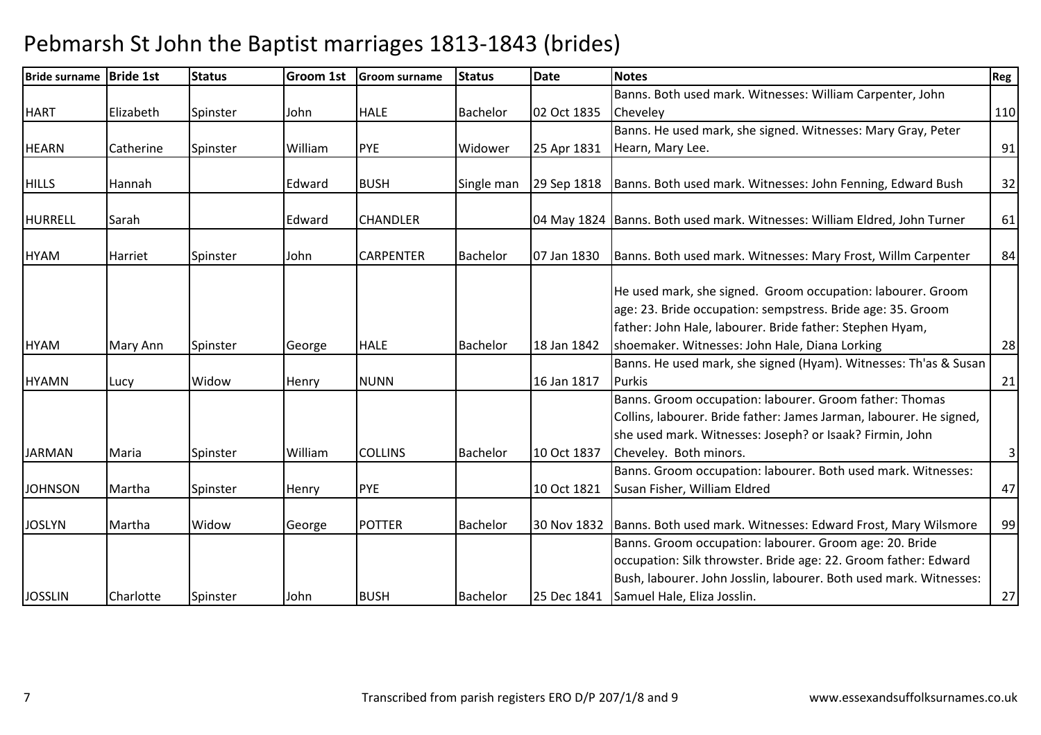| <b>Bride surname</b> | <b>Bride 1st</b> | <b>Status</b> | <b>Groom 1st</b> | <b>Groom surname</b> | <b>Status</b>   | <b>Date</b> | <b>Notes</b>                                                                                                                                                                                                                    | Reg            |
|----------------------|------------------|---------------|------------------|----------------------|-----------------|-------------|---------------------------------------------------------------------------------------------------------------------------------------------------------------------------------------------------------------------------------|----------------|
|                      |                  |               |                  |                      |                 |             | Banns. Both used mark. Witnesses: William Carpenter, John                                                                                                                                                                       |                |
| <b>HART</b>          | Elizabeth        | Spinster      | John             | <b>HALE</b>          | <b>Bachelor</b> | 02 Oct 1835 | Cheveley                                                                                                                                                                                                                        | 110            |
|                      |                  |               |                  |                      |                 |             | Banns. He used mark, she signed. Witnesses: Mary Gray, Peter                                                                                                                                                                    |                |
| <b>HEARN</b>         | Catherine        | Spinster      | William          | <b>PYE</b>           | Widower         | 25 Apr 1831 | Hearn, Mary Lee.                                                                                                                                                                                                                | 91             |
|                      |                  |               |                  |                      |                 |             |                                                                                                                                                                                                                                 |                |
| <b>HILLS</b>         | Hannah           |               | Edward           | <b>BUSH</b>          | Single man      | 29 Sep 1818 | Banns. Both used mark. Witnesses: John Fenning, Edward Bush                                                                                                                                                                     | 32             |
| <b>HURRELL</b>       | Sarah            |               | Edward           | <b>CHANDLER</b>      |                 |             | 04 May 1824   Banns. Both used mark. Witnesses: William Eldred, John Turner                                                                                                                                                     | 61             |
|                      |                  |               |                  |                      |                 |             |                                                                                                                                                                                                                                 |                |
| <b>HYAM</b>          | <b>Harriet</b>   | Spinster      | John             | <b>CARPENTER</b>     | <b>Bachelor</b> | 07 Jan 1830 | Banns. Both used mark. Witnesses: Mary Frost, Willm Carpenter                                                                                                                                                                   | 84             |
|                      |                  |               |                  |                      |                 |             | He used mark, she signed. Groom occupation: labourer. Groom<br>age: 23. Bride occupation: sempstress. Bride age: 35. Groom<br>father: John Hale, labourer. Bride father: Stephen Hyam,                                          |                |
| <b>HYAM</b>          | Mary Ann         | Spinster      | George           | <b>HALE</b>          | <b>Bachelor</b> | 18 Jan 1842 | shoemaker. Witnesses: John Hale, Diana Lorking                                                                                                                                                                                  | 28             |
| <b>HYAMN</b>         | Lucy             | Widow         | Henry            | <b>NUNN</b>          |                 | 16 Jan 1817 | Banns. He used mark, she signed (Hyam). Witnesses: Th'as & Susan<br><b>Purkis</b>                                                                                                                                               | 21             |
| <b>JARMAN</b>        | Maria            | Spinster      | William          | <b>COLLINS</b>       | Bachelor        | 10 Oct 1837 | Banns. Groom occupation: labourer. Groom father: Thomas<br>Collins, labourer. Bride father: James Jarman, labourer. He signed,<br>she used mark. Witnesses: Joseph? or Isaak? Firmin, John<br>Cheveley. Both minors.            | $\overline{3}$ |
|                      |                  |               |                  |                      |                 |             | Banns. Groom occupation: labourer. Both used mark. Witnesses:                                                                                                                                                                   |                |
| <b>JOHNSON</b>       | Martha           | Spinster      | Henry            | <b>PYE</b>           |                 | 10 Oct 1821 | Susan Fisher, William Eldred                                                                                                                                                                                                    | 47             |
| <b>JOSLYN</b>        | Martha           | Widow         | George           | <b>POTTER</b>        | Bachelor        | 30 Nov 1832 | Banns. Both used mark. Witnesses: Edward Frost, Mary Wilsmore                                                                                                                                                                   | 99             |
| <b>JOSSLIN</b>       | Charlotte        | Spinster      | John             | <b>BUSH</b>          | Bachelor        | 25 Dec 1841 | Banns. Groom occupation: labourer. Groom age: 20. Bride<br>occupation: Silk throwster. Bride age: 22. Groom father: Edward<br>Bush, labourer. John Josslin, labourer. Both used mark. Witnesses:<br>Samuel Hale, Eliza Josslin. | 27             |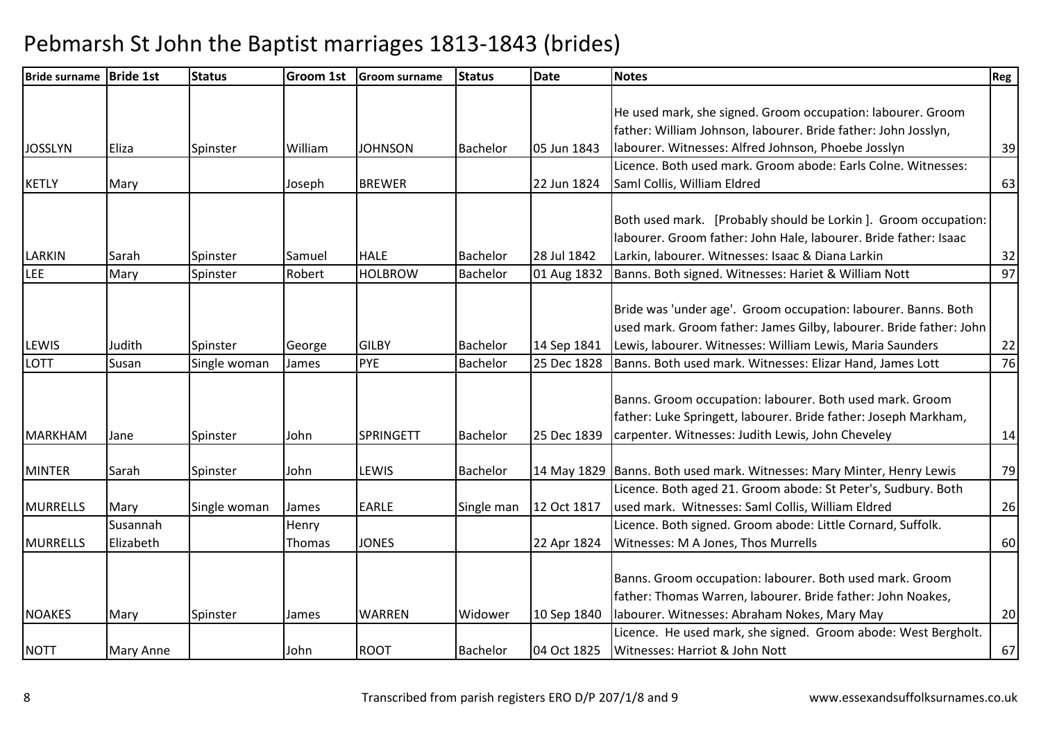| Bride surname Bride 1st |                  | <b>Status</b> | <b>Groom 1st</b> | <b>Groom surname</b> | <b>Status</b>   | <b>Date</b> | <b>Notes</b>                                                           | Reg |
|-------------------------|------------------|---------------|------------------|----------------------|-----------------|-------------|------------------------------------------------------------------------|-----|
|                         |                  |               |                  |                      |                 |             |                                                                        |     |
|                         |                  |               |                  |                      |                 |             | He used mark, she signed. Groom occupation: labourer. Groom            |     |
|                         |                  |               |                  |                      |                 |             | father: William Johnson, labourer. Bride father: John Josslyn,         |     |
| <b>JOSSLYN</b>          | Eliza            | Spinster      | William          | <b>JOHNSON</b>       | <b>Bachelor</b> | 05 Jun 1843 | labourer. Witnesses: Alfred Johnson, Phoebe Josslyn                    | 39  |
|                         |                  |               |                  |                      |                 |             | Licence. Both used mark. Groom abode: Earls Colne. Witnesses:          |     |
| <b>KETLY</b>            | Mary             |               | Joseph           | <b>BREWER</b>        |                 | 22 Jun 1824 | Saml Collis, William Eldred                                            | 63  |
|                         |                  |               |                  |                      |                 |             |                                                                        |     |
|                         |                  |               |                  |                      |                 |             | Both used mark. [Probably should be Lorkin]. Groom occupation:         |     |
|                         |                  |               |                  |                      |                 |             | labourer. Groom father: John Hale, labourer. Bride father: Isaac       |     |
| <b>LARKIN</b>           | Sarah            | Spinster      | Samuel           | <b>HALE</b>          | Bachelor        | 28 Jul 1842 | Larkin, labourer. Witnesses: Isaac & Diana Larkin                      | 32  |
| <b>LEE</b>              | Mary             | Spinster      | Robert           | <b>HOLBROW</b>       | Bachelor        | 01 Aug 1832 | Banns. Both signed. Witnesses: Hariet & William Nott                   | 97  |
|                         |                  |               |                  |                      |                 |             |                                                                        |     |
|                         |                  |               |                  |                      |                 |             | Bride was 'under age'. Groom occupation: labourer. Banns. Both         |     |
|                         |                  |               |                  |                      |                 |             | used mark. Groom father: James Gilby, labourer. Bride father: John     |     |
| LEWIS                   | Judith           | Spinster      | George           | <b>GILBY</b>         | Bachelor        | 14 Sep 1841 | Lewis, labourer. Witnesses: William Lewis, Maria Saunders              | 22  |
| <b>LOTT</b>             | Susan            | Single woman  | James            | PYE                  | Bachelor        | 25 Dec 1828 | Banns. Both used mark. Witnesses: Elizar Hand, James Lott              | 76  |
|                         |                  |               |                  |                      |                 |             |                                                                        |     |
|                         |                  |               |                  |                      |                 |             | Banns. Groom occupation: labourer. Both used mark. Groom               |     |
|                         |                  |               |                  |                      |                 |             | father: Luke Springett, labourer. Bride father: Joseph Markham,        |     |
| MARKHAM                 | Jane             | Spinster      | John             | <b>SPRINGETT</b>     | <b>Bachelor</b> | 25 Dec 1839 | carpenter. Witnesses: Judith Lewis, John Cheveley                      | 14  |
|                         |                  |               |                  |                      |                 |             |                                                                        |     |
| <b>MINTER</b>           | Sarah            | Spinster      | John             | LEWIS                | Bachelor        |             | 14 May 1829 Banns. Both used mark. Witnesses: Mary Minter, Henry Lewis | 79  |
|                         |                  |               |                  |                      |                 |             | Licence. Both aged 21. Groom abode: St Peter's, Sudbury. Both          |     |
| <b>MURRELLS</b>         | Mary<br>Susannah | Single woman  | James            | <b>EARLE</b>         | Single man      | 12 Oct 1817 | used mark. Witnesses: Saml Collis, William Eldred                      | 26  |
|                         | Elizabeth        |               | Henry            |                      |                 |             | Licence. Both signed. Groom abode: Little Cornard, Suffolk.            |     |
| <b>MURRELLS</b>         |                  |               | Thomas           | <b>JONES</b>         |                 | 22 Apr 1824 | Witnesses: M A Jones, Thos Murrells                                    | 60  |
|                         |                  |               |                  |                      |                 |             | Banns. Groom occupation: labourer. Both used mark. Groom               |     |
|                         |                  |               |                  |                      |                 |             |                                                                        |     |
|                         |                  |               |                  |                      |                 |             | father: Thomas Warren, labourer. Bride father: John Noakes,            |     |
| <b>NOAKES</b>           | Mary             | Spinster      | James            | <b>WARREN</b>        | Widower         | 10 Sep 1840 | labourer. Witnesses: Abraham Nokes, Mary May                           | 20  |
|                         |                  |               |                  |                      |                 |             | Licence. He used mark, she signed. Groom abode: West Bergholt.         |     |
| <b>NOTT</b>             | Mary Anne        |               | John             | <b>ROOT</b>          | Bachelor        | 04 Oct 1825 | Witnesses: Harriot & John Nott                                         | 67  |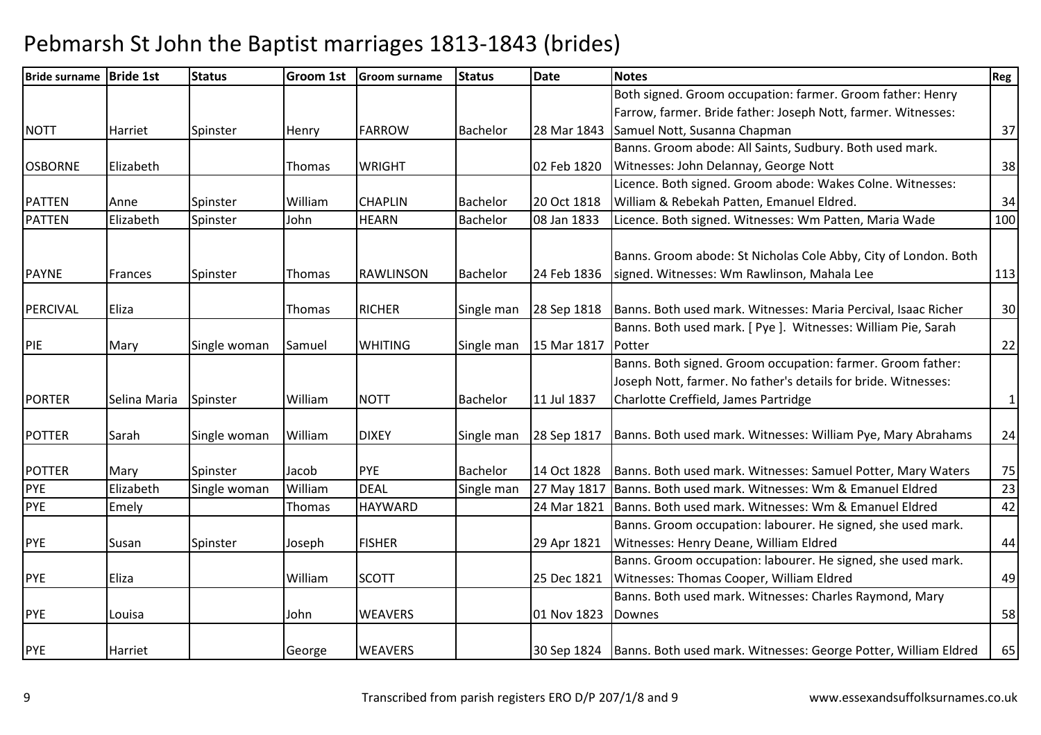| <b>Bride surname</b> | <b>Bride 1st</b> | <b>Status</b> | <b>Groom 1st</b> | <b>Groom surname</b> | <b>Status</b>   | <b>Date</b> | <b>Notes</b>                                                                                                   | Reg          |
|----------------------|------------------|---------------|------------------|----------------------|-----------------|-------------|----------------------------------------------------------------------------------------------------------------|--------------|
|                      |                  |               |                  |                      |                 |             | Both signed. Groom occupation: farmer. Groom father: Henry                                                     |              |
|                      |                  |               |                  |                      |                 |             | Farrow, farmer. Bride father: Joseph Nott, farmer. Witnesses:                                                  |              |
| <b>NOTT</b>          | Harriet          | Spinster      | Henry            | <b>FARROW</b>        | Bachelor        | 28 Mar 1843 | Samuel Nott, Susanna Chapman                                                                                   | 37           |
|                      |                  |               |                  |                      |                 |             | Banns. Groom abode: All Saints, Sudbury. Both used mark.                                                       |              |
| <b>OSBORNE</b>       | Elizabeth        |               | Thomas           | <b>WRIGHT</b>        |                 | 02 Feb 1820 | Witnesses: John Delannay, George Nott                                                                          | 38           |
|                      |                  |               |                  |                      |                 |             | Licence. Both signed. Groom abode: Wakes Colne. Witnesses:                                                     |              |
| <b>PATTEN</b>        | Anne             | Spinster      | William          | <b>CHAPLIN</b>       | <b>Bachelor</b> | 20 Oct 1818 | William & Rebekah Patten, Emanuel Eldred.                                                                      | 34           |
| <b>PATTEN</b>        | Elizabeth        | Spinster      | John             | <b>HEARN</b>         | Bachelor        | 08 Jan 1833 | Licence. Both signed. Witnesses: Wm Patten, Maria Wade                                                         | 100          |
| <b>PAYNE</b>         | Frances          | Spinster      | <b>Thomas</b>    | <b>RAWLINSON</b>     | Bachelor        | 24 Feb 1836 | Banns. Groom abode: St Nicholas Cole Abby, City of London. Both<br>signed. Witnesses: Wm Rawlinson, Mahala Lee | 113          |
| PERCIVAL             | Eliza            |               | Thomas           | <b>RICHER</b>        | Single man      | 28 Sep 1818 | Banns. Both used mark. Witnesses: Maria Percival, Isaac Richer                                                 | 30           |
|                      |                  |               |                  |                      |                 |             | Banns. Both used mark. [ Pye ]. Witnesses: William Pie, Sarah                                                  |              |
| PIE                  | Mary             | Single woman  | Samuel           | <b>WHITING</b>       | Single man      | 15 Mar 1817 | Potter                                                                                                         | 22           |
|                      |                  |               |                  |                      |                 |             | Banns. Both signed. Groom occupation: farmer. Groom father:                                                    |              |
|                      |                  |               |                  |                      |                 |             | Joseph Nott, farmer. No father's details for bride. Witnesses:                                                 |              |
| <b>PORTER</b>        | Selina Maria     | Spinster      | William          | <b>NOTT</b>          | Bachelor        | 11 Jul 1837 | Charlotte Creffield, James Partridge                                                                           | $\mathbf{1}$ |
| <b>POTTER</b>        | Sarah            | Single woman  | William          | <b>DIXEY</b>         | Single man      | 28 Sep 1817 | Banns. Both used mark. Witnesses: William Pye, Mary Abrahams                                                   | 24           |
| <b>POTTER</b>        | Mary             | Spinster      | Jacob            | PYE                  | <b>Bachelor</b> | 14 Oct 1828 | Banns. Both used mark. Witnesses: Samuel Potter, Mary Waters                                                   | 75           |
| PYE                  | Elizabeth        | Single woman  | William          | <b>DEAL</b>          | Single man      | 27 May 1817 | Banns. Both used mark. Witnesses: Wm & Emanuel Eldred                                                          | 23           |
| <b>PYE</b>           | Emely            |               | Thomas           | <b>HAYWARD</b>       |                 | 24 Mar 1821 | Banns. Both used mark. Witnesses: Wm & Emanuel Eldred                                                          | 42           |
|                      |                  |               |                  |                      |                 |             | Banns. Groom occupation: labourer. He signed, she used mark.                                                   |              |
| <b>PYE</b>           | Susan            | Spinster      | Joseph           | <b>FISHER</b>        |                 | 29 Apr 1821 | Witnesses: Henry Deane, William Eldred                                                                         | 44           |
|                      |                  |               |                  |                      |                 |             | Banns. Groom occupation: labourer. He signed, she used mark.                                                   |              |
| <b>PYE</b>           | Eliza            |               | William          | <b>SCOTT</b>         |                 | 25 Dec 1821 | Witnesses: Thomas Cooper, William Eldred                                                                       | 49           |
|                      |                  |               |                  |                      |                 |             | Banns. Both used mark. Witnesses: Charles Raymond, Mary                                                        |              |
| <b>PYE</b>           | Louisa           |               | John             | <b>WEAVERS</b>       |                 | 01 Nov 1823 | <b>Downes</b>                                                                                                  | 58           |
| PYE                  | Harriet          |               | George           | <b>WEAVERS</b>       |                 |             | 30 Sep 1824   Banns. Both used mark. Witnesses: George Potter, William Eldred                                  | 65           |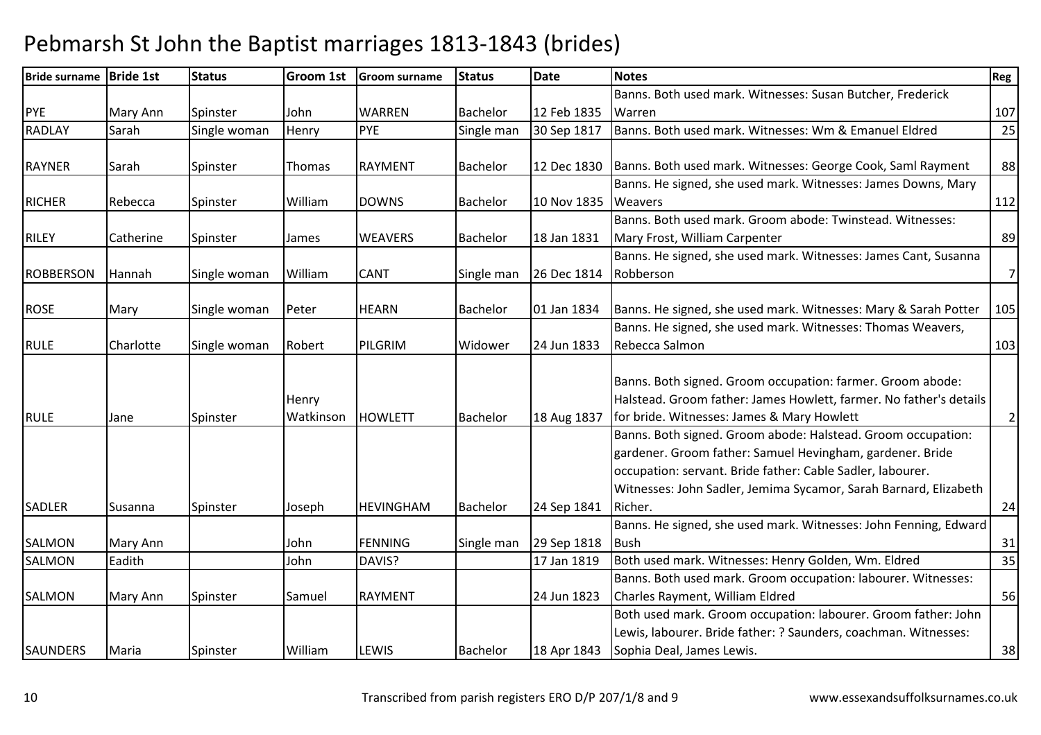| Bride surname Bride 1st |           | <b>Status</b> | Groom 1st | <b>Groom surname</b> | <b>Status</b>   | Date        | <b>Notes</b>                                                       | Reg            |
|-------------------------|-----------|---------------|-----------|----------------------|-----------------|-------------|--------------------------------------------------------------------|----------------|
|                         |           |               |           |                      |                 |             | Banns. Both used mark. Witnesses: Susan Butcher, Frederick         |                |
| <b>PYE</b>              | Mary Ann  | Spinster      | John      | <b>WARREN</b>        | <b>Bachelor</b> | 12 Feb 1835 | Warren                                                             | 107            |
| <b>RADLAY</b>           | Sarah     | Single woman  | Henry     | PYE                  | Single man      | 30 Sep 1817 | Banns. Both used mark. Witnesses: Wm & Emanuel Eldred              | 25             |
|                         |           |               |           |                      |                 |             |                                                                    |                |
| <b>RAYNER</b>           | Sarah     | Spinster      | Thomas    | <b>RAYMENT</b>       | Bachelor        | 12 Dec 1830 | Banns. Both used mark. Witnesses: George Cook, Saml Rayment        | 88             |
|                         |           |               |           |                      |                 |             | Banns. He signed, she used mark. Witnesses: James Downs, Mary      |                |
| <b>RICHER</b>           | Rebecca   | Spinster      | William   | <b>DOWNS</b>         | Bachelor        | 10 Nov 1835 | Weavers                                                            | 112            |
|                         |           |               |           |                      |                 |             | Banns. Both used mark. Groom abode: Twinstead. Witnesses:          |                |
| <b>RILEY</b>            | Catherine | Spinster      | James     | <b>WEAVERS</b>       | Bachelor        | 18 Jan 1831 | Mary Frost, William Carpenter                                      | 89             |
|                         |           |               |           |                      |                 |             | Banns. He signed, she used mark. Witnesses: James Cant, Susanna    |                |
| <b>ROBBERSON</b>        | Hannah    | Single woman  | William   | <b>CANT</b>          | Single man      | 26 Dec 1814 | Robberson                                                          | $\overline{7}$ |
|                         |           |               |           |                      |                 |             |                                                                    |                |
| <b>ROSE</b>             | Mary      | Single woman  | Peter     | <b>HEARN</b>         | Bachelor        | 01 Jan 1834 | Banns. He signed, she used mark. Witnesses: Mary & Sarah Potter    | 105            |
|                         |           |               |           |                      |                 |             | Banns. He signed, she used mark. Witnesses: Thomas Weavers,        |                |
| <b>RULE</b>             | Charlotte | Single woman  | Robert    | PILGRIM              | Widower         | 24 Jun 1833 | Rebecca Salmon                                                     | 103            |
|                         |           |               |           |                      |                 |             |                                                                    |                |
|                         |           |               |           |                      |                 |             | Banns. Both signed. Groom occupation: farmer. Groom abode:         |                |
|                         |           |               | Henry     |                      |                 |             | Halstead. Groom father: James Howlett, farmer. No father's details |                |
| <b>RULE</b>             | Jane      | Spinster      | Watkinson | <b>HOWLETT</b>       | <b>Bachelor</b> | 18 Aug 1837 | for bride. Witnesses: James & Mary Howlett                         | $\overline{2}$ |
|                         |           |               |           |                      |                 |             | Banns. Both signed. Groom abode: Halstead. Groom occupation:       |                |
|                         |           |               |           |                      |                 |             | gardener. Groom father: Samuel Hevingham, gardener. Bride          |                |
|                         |           |               |           |                      |                 |             | occupation: servant. Bride father: Cable Sadler, labourer.         |                |
|                         |           |               |           |                      |                 |             | Witnesses: John Sadler, Jemima Sycamor, Sarah Barnard, Elizabeth   |                |
| <b>SADLER</b>           | Susanna   | Spinster      | Joseph    | <b>HEVINGHAM</b>     | Bachelor        | 24 Sep 1841 | Richer.                                                            | 24             |
|                         |           |               |           |                      |                 |             | Banns. He signed, she used mark. Witnesses: John Fenning, Edward   |                |
| SALMON                  | Mary Ann  |               | John      | <b>FENNING</b>       | Single man      | 29 Sep 1818 | <b>Bush</b>                                                        | 31             |
| <b>SALMON</b>           | Eadith    |               | John      | DAVIS?               |                 | 17 Jan 1819 | Both used mark. Witnesses: Henry Golden, Wm. Eldred                | 35             |
|                         |           |               |           |                      |                 |             | Banns. Both used mark. Groom occupation: labourer. Witnesses:      |                |
| <b>SALMON</b>           | Mary Ann  | Spinster      | Samuel    | <b>RAYMENT</b>       |                 | 24 Jun 1823 | Charles Rayment, William Eldred                                    | 56             |
|                         |           |               |           |                      |                 |             | Both used mark. Groom occupation: labourer. Groom father: John     |                |
|                         |           |               |           |                      |                 |             | Lewis, labourer. Bride father: ? Saunders, coachman. Witnesses:    |                |
| <b>SAUNDERS</b>         | Maria     | Spinster      | William   | LEWIS                | Bachelor        | 18 Apr 1843 | Sophia Deal, James Lewis.                                          | 38             |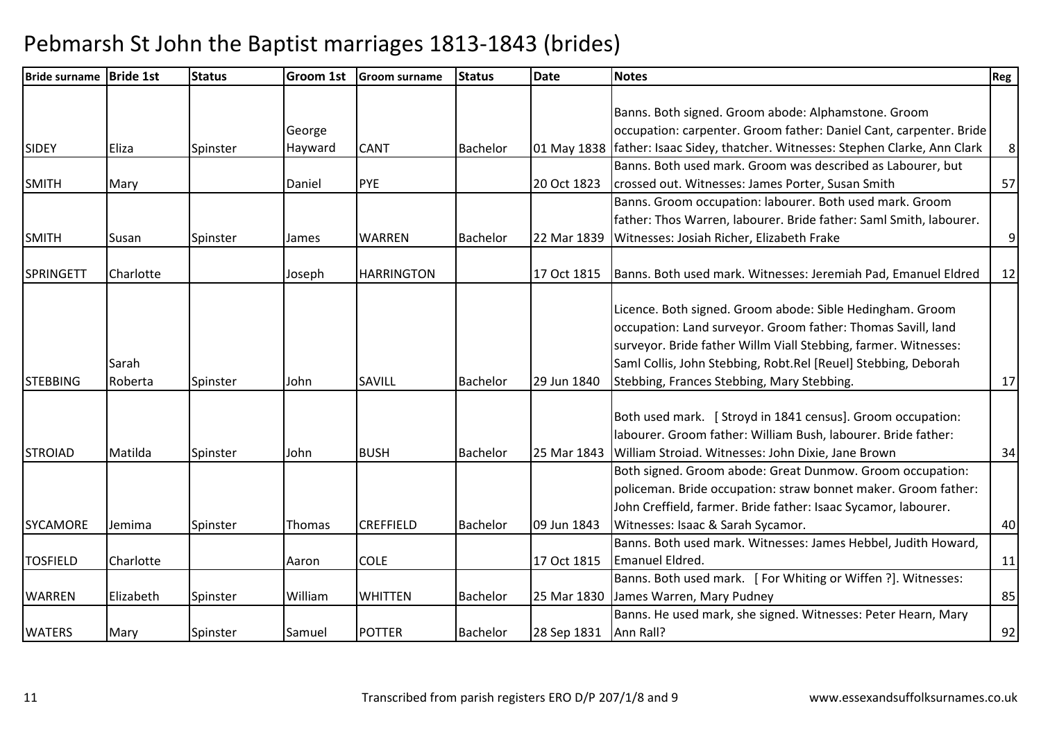| Bride surname   Bride 1st |           | <b>Status</b> | Groom 1st | <b>Groom surname</b> | <b>Status</b>   | <b>Date</b> | <b>Notes</b>                                                                      | Reg            |
|---------------------------|-----------|---------------|-----------|----------------------|-----------------|-------------|-----------------------------------------------------------------------------------|----------------|
|                           |           |               |           |                      |                 |             |                                                                                   |                |
|                           |           |               |           |                      |                 |             | Banns. Both signed. Groom abode: Alphamstone. Groom                               |                |
|                           |           |               | George    |                      |                 |             | occupation: carpenter. Groom father: Daniel Cant, carpenter. Bride                |                |
| <b>SIDEY</b>              | Eliza     | Spinster      | Hayward   | <b>CANT</b>          | Bachelor        |             | 01 May 1838   father: Isaac Sidey, thatcher. Witnesses: Stephen Clarke, Ann Clark | 8 <sup>°</sup> |
|                           |           |               |           |                      |                 |             | Banns. Both used mark. Groom was described as Labourer, but                       |                |
| <b>SMITH</b>              | Mary      |               | Daniel    | <b>PYE</b>           |                 | 20 Oct 1823 | crossed out. Witnesses: James Porter, Susan Smith                                 | 57             |
|                           |           |               |           |                      |                 |             | Banns. Groom occupation: labourer. Both used mark. Groom                          |                |
|                           |           |               |           |                      |                 |             | father: Thos Warren, labourer. Bride father: Saml Smith, labourer.                |                |
| <b>SMITH</b>              | Susan     | Spinster      | James     | <b>WARREN</b>        | Bachelor        | 22 Mar 1839 | Witnesses: Josiah Richer, Elizabeth Frake                                         | 9              |
|                           |           |               |           |                      |                 |             |                                                                                   |                |
| <b>SPRINGETT</b>          | Charlotte |               | Joseph    | <b>HARRINGTON</b>    |                 | 17 Oct 1815 | Banns. Both used mark. Witnesses: Jeremiah Pad, Emanuel Eldred                    | 12             |
|                           |           |               |           |                      |                 |             |                                                                                   |                |
|                           |           |               |           |                      |                 |             | Licence. Both signed. Groom abode: Sible Hedingham. Groom                         |                |
|                           |           |               |           |                      |                 |             | occupation: Land surveyor. Groom father: Thomas Savill, land                      |                |
|                           |           |               |           |                      |                 |             | surveyor. Bride father Willm Viall Stebbing, farmer. Witnesses:                   |                |
|                           | Sarah     |               |           |                      |                 |             | Saml Collis, John Stebbing, Robt.Rel [Reuel] Stebbing, Deborah                    |                |
| <b>STEBBING</b>           | Roberta   | Spinster      | John      | SAVILL               | Bachelor        | 29 Jun 1840 | Stebbing, Frances Stebbing, Mary Stebbing.                                        | 17             |
|                           |           |               |           |                      |                 |             |                                                                                   |                |
|                           |           |               |           |                      |                 |             | Both used mark. [ Stroyd in 1841 census]. Groom occupation:                       |                |
|                           |           |               |           |                      |                 |             | labourer. Groom father: William Bush, labourer. Bride father:                     |                |
| <b>STROIAD</b>            | Matilda   | Spinster      | John      | <b>BUSH</b>          | Bachelor        | 25 Mar 1843 | William Stroiad. Witnesses: John Dixie, Jane Brown                                | 34             |
|                           |           |               |           |                      |                 |             | Both signed. Groom abode: Great Dunmow. Groom occupation:                         |                |
|                           |           |               |           |                      |                 |             | policeman. Bride occupation: straw bonnet maker. Groom father:                    |                |
|                           |           |               |           |                      |                 |             | John Creffield, farmer. Bride father: Isaac Sycamor, labourer.                    |                |
| <b>SYCAMORE</b>           | Jemima    | Spinster      | Thomas    | <b>CREFFIELD</b>     | <b>Bachelor</b> | 09 Jun 1843 | Witnesses: Isaac & Sarah Sycamor.                                                 | 40             |
|                           |           |               |           |                      |                 |             | Banns. Both used mark. Witnesses: James Hebbel, Judith Howard,                    |                |
| <b>TOSFIELD</b>           | Charlotte |               | Aaron     | <b>COLE</b>          |                 | 17 Oct 1815 | Emanuel Eldred.                                                                   | 11             |
|                           |           |               |           |                      |                 |             | Banns. Both used mark. [For Whiting or Wiffen ?]. Witnesses:                      |                |
| <b>WARREN</b>             | Elizabeth | Spinster      | William   | <b>WHITTEN</b>       | Bachelor        | 25 Mar 1830 | James Warren, Mary Pudney                                                         | 85             |
|                           |           |               |           |                      |                 |             | Banns. He used mark, she signed. Witnesses: Peter Hearn, Mary                     |                |
| <b>WATERS</b>             | Mary      | Spinster      | Samuel    | <b>POTTER</b>        | Bachelor        | 28 Sep 1831 | Ann Rall?                                                                         | 92             |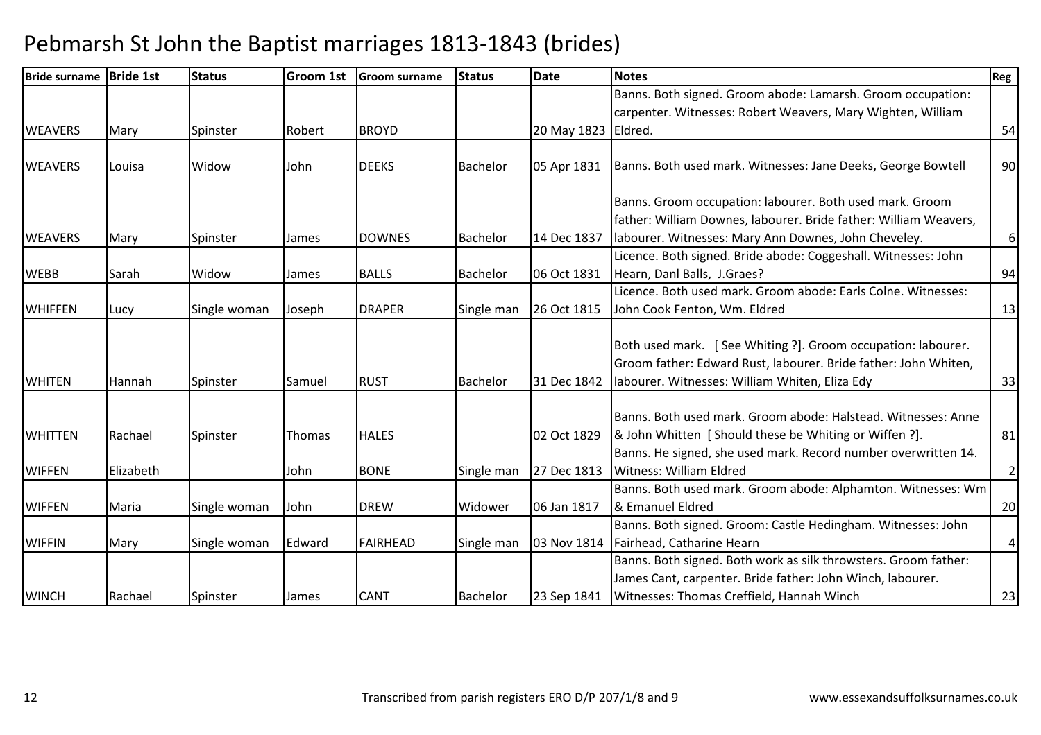| <b>Bride surname</b> | <b>Bride 1st</b> | <b>Status</b> | Groom 1st | <b>Groom surname</b> | <b>Status</b>   | <b>Date</b>         | <b>Notes</b>                                                     | Reg            |
|----------------------|------------------|---------------|-----------|----------------------|-----------------|---------------------|------------------------------------------------------------------|----------------|
|                      |                  |               |           |                      |                 |                     | Banns. Both signed. Groom abode: Lamarsh. Groom occupation:      |                |
|                      |                  |               |           |                      |                 |                     | carpenter. Witnesses: Robert Weavers, Mary Wighten, William      |                |
| <b>WEAVERS</b>       | Mary             | Spinster      | Robert    | <b>BROYD</b>         |                 | 20 May 1823 Eldred. |                                                                  | 54             |
|                      |                  |               |           |                      |                 |                     |                                                                  |                |
| <b>WEAVERS</b>       | Louisa           | Widow         | John      | <b>DEEKS</b>         | Bachelor        | 05 Apr 1831         | Banns. Both used mark. Witnesses: Jane Deeks, George Bowtell     | 90             |
|                      |                  |               |           |                      |                 |                     |                                                                  |                |
|                      |                  |               |           |                      |                 |                     | Banns. Groom occupation: labourer. Both used mark. Groom         |                |
|                      |                  |               |           |                      |                 |                     | father: William Downes, labourer. Bride father: William Weavers, |                |
| <b>WEAVERS</b>       | Mary             | Spinster      | James     | <b>DOWNES</b>        | <b>Bachelor</b> | 14 Dec 1837         | labourer. Witnesses: Mary Ann Downes, John Cheveley.             | $6 \mid$       |
|                      |                  |               |           |                      |                 |                     | Licence. Both signed. Bride abode: Coggeshall. Witnesses: John   |                |
| <b>WEBB</b>          | Sarah            | Widow         | James     | <b>BALLS</b>         | Bachelor        | 06 Oct 1831         | Hearn, Danl Balls, J.Graes?                                      | 94             |
|                      |                  |               |           |                      |                 |                     | Licence. Both used mark. Groom abode: Earls Colne. Witnesses:    |                |
| <b>WHIFFEN</b>       | Lucy             | Single woman  | Joseph    | <b>DRAPER</b>        | Single man      | 26 Oct 1815         | John Cook Fenton, Wm. Eldred                                     | 13             |
|                      |                  |               |           |                      |                 |                     |                                                                  |                |
|                      |                  |               |           |                      |                 |                     | Both used mark. [See Whiting ?]. Groom occupation: labourer.     |                |
|                      |                  |               |           |                      |                 |                     | Groom father: Edward Rust, labourer. Bride father: John Whiten,  |                |
| <b>WHITEN</b>        | Hannah           | Spinster      | Samuel    | <b>RUST</b>          | <b>Bachelor</b> | 31 Dec 1842         | labourer. Witnesses: William Whiten, Eliza Edy                   | 33             |
|                      |                  |               |           |                      |                 |                     |                                                                  |                |
|                      |                  |               |           |                      |                 |                     | Banns. Both used mark. Groom abode: Halstead. Witnesses: Anne    |                |
| <b>WHITTEN</b>       | Rachael          | Spinster      | Thomas    | <b>HALES</b>         |                 | 02 Oct 1829         | & John Whitten [ Should these be Whiting or Wiffen ?].           | 81             |
|                      |                  |               |           |                      |                 |                     | Banns. He signed, she used mark. Record number overwritten 14.   |                |
| <b>WIFFEN</b>        | Elizabeth        |               | John      | <b>BONE</b>          | Single man      | 27 Dec 1813         | <b>Witness: William Eldred</b>                                   | $\overline{2}$ |
|                      |                  |               |           |                      |                 |                     | Banns. Both used mark. Groom abode: Alphamton. Witnesses: Wm     |                |
| <b>WIFFEN</b>        | Maria            | Single woman  | John      | <b>DREW</b>          | Widower         | 06 Jan 1817         | & Emanuel Eldred                                                 | 20             |
|                      |                  |               |           |                      |                 |                     | Banns. Both signed. Groom: Castle Hedingham. Witnesses: John     |                |
| <b>WIFFIN</b>        | Mary             | Single woman  | Edward    | <b>FAIRHEAD</b>      | Single man      | 03 Nov 1814         | Fairhead, Catharine Hearn                                        | $\overline{4}$ |
|                      |                  |               |           |                      |                 |                     | Banns. Both signed. Both work as silk throwsters. Groom father:  |                |
|                      |                  |               |           |                      |                 |                     | James Cant, carpenter. Bride father: John Winch, labourer.       |                |
| <b>WINCH</b>         | Rachael          | Spinster      | James     | <b>CANT</b>          | <b>Bachelor</b> | 23 Sep 1841         | Witnesses: Thomas Creffield, Hannah Winch                        | 23             |